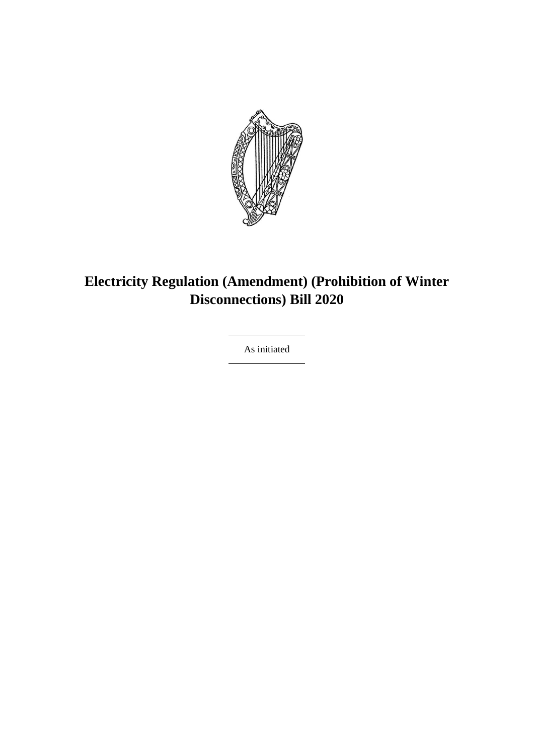

## **Electricity Regulation (Amendment) (Prohibition of Winter Disconnections) Bill 2020**

As initiated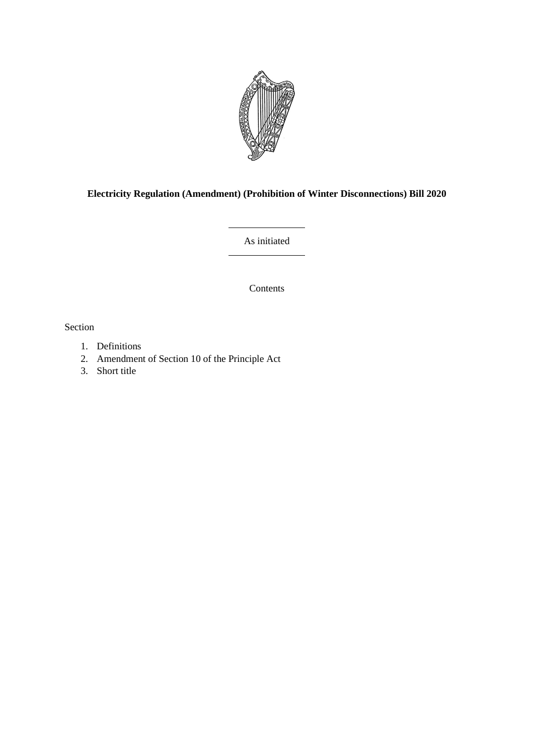

### **Electricity Regulation (Amendment) (Prohibition of Winter Disconnections) Bill 2020**

As initiated

Contents

Section

- 1. Definitions
- 2. Amendment of Section 10 of the Principle Act
- 3. Short title